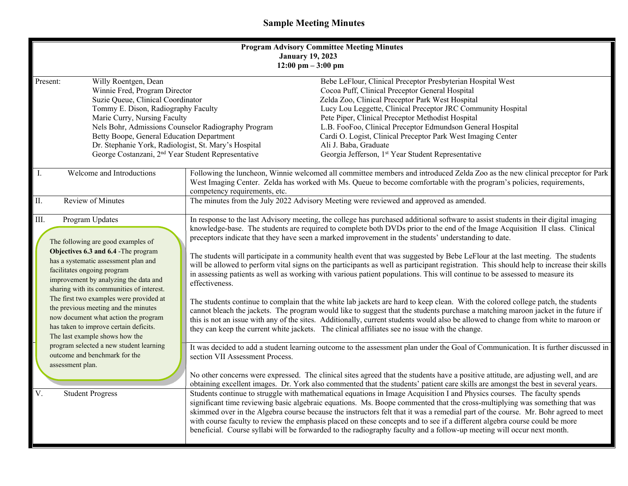## **Sample Meeting Minutes**

| <b>Program Advisory Committee Meeting Minutes</b><br><b>January 19, 2023</b><br>$12:00 \text{ pm} - 3:00 \text{ pm}$                                                                                                                                                                                                                                                                                                                                                                                                 |                                                                                                                                                                                                                                                                                                                                                                                                                                                                                                                                                                                                                                                                                                                                                                                                                                                                                                                                                                                                                                                                                                                                                                                                                                                                                                                                                                                                                                                                      |  |
|----------------------------------------------------------------------------------------------------------------------------------------------------------------------------------------------------------------------------------------------------------------------------------------------------------------------------------------------------------------------------------------------------------------------------------------------------------------------------------------------------------------------|----------------------------------------------------------------------------------------------------------------------------------------------------------------------------------------------------------------------------------------------------------------------------------------------------------------------------------------------------------------------------------------------------------------------------------------------------------------------------------------------------------------------------------------------------------------------------------------------------------------------------------------------------------------------------------------------------------------------------------------------------------------------------------------------------------------------------------------------------------------------------------------------------------------------------------------------------------------------------------------------------------------------------------------------------------------------------------------------------------------------------------------------------------------------------------------------------------------------------------------------------------------------------------------------------------------------------------------------------------------------------------------------------------------------------------------------------------------------|--|
| Willy Roentgen, Dean<br>Present:<br>Winnie Fred, Program Director<br>Suzie Queue, Clinical Coordinator<br>Tommy E. Dison, Radiography Faculty<br>Marie Curry, Nursing Faculty<br>Nels Bohr, Admissions Counselor Radiography Program<br>Betty Boope, General Education Department<br>Dr. Stephanie York, Radiologist, St. Mary's Hospital<br>George Costanzani, 2 <sup>nd</sup> Year Student Representative                                                                                                          | Bebe LeFlour, Clinical Preceptor Presbyterian Hospital West<br>Cocoa Puff, Clinical Preceptor General Hospital<br>Zelda Zoo, Clinical Preceptor Park West Hospital<br>Lucy Lou Leggette, Clinical Preceptor JRC Community Hospital<br>Pete Piper, Clinical Preceptor Methodist Hospital<br>L.B. FooFoo, Clinical Preceptor Edmundson General Hospital<br>Cardi O. Logist, Clinical Preceptor Park West Imaging Center<br>Ali J. Baba, Graduate<br>Georgia Jefferson, 1st Year Student Representative                                                                                                                                                                                                                                                                                                                                                                                                                                                                                                                                                                                                                                                                                                                                                                                                                                                                                                                                                                 |  |
| Welcome and Introductions<br>I.                                                                                                                                                                                                                                                                                                                                                                                                                                                                                      | Following the luncheon, Winnie welcomed all committee members and introduced Zelda Zoo as the new clinical preceptor for Park<br>West Imaging Center. Zelda has worked with Ms. Queue to become comfortable with the program's policies, requirements,<br>competency requirements, etc.                                                                                                                                                                                                                                                                                                                                                                                                                                                                                                                                                                                                                                                                                                                                                                                                                                                                                                                                                                                                                                                                                                                                                                              |  |
| Review of Minutes<br>II.                                                                                                                                                                                                                                                                                                                                                                                                                                                                                             | The minutes from the July 2022 Advisory Meeting were reviewed and approved as amended.                                                                                                                                                                                                                                                                                                                                                                                                                                                                                                                                                                                                                                                                                                                                                                                                                                                                                                                                                                                                                                                                                                                                                                                                                                                                                                                                                                               |  |
| III.<br>Program Updates<br>The following are good examples of<br>Objectives 6.3 and 6.4 - The program<br>has a systematic assessment plan and<br>facilitates ongoing program<br>improvement by analyzing the data and<br>sharing with its communities of interest.<br>The first two examples were provided at<br>the previous meeting and the minutes<br>now document what action the program<br>has taken to improve certain deficits.<br>The last example shows how the<br>program selected a new student learning | In response to the last Advisory meeting, the college has purchased additional software to assist students in their digital imaging<br>knowledge-base. The students are required to complete both DVDs prior to the end of the Image Acquisition II class. Clinical<br>preceptors indicate that they have seen a marked improvement in the students' understanding to date.<br>The students will participate in a community health event that was suggested by Bebe LeFlour at the last meeting. The students<br>will be allowed to perform vital signs on the participants as well as participant registration. This should help to increase their skills<br>in assessing patients as well as working with various patient populations. This will continue to be assessed to measure its<br>effectiveness.<br>The students continue to complain that the white lab jackets are hard to keep clean. With the colored college patch, the students<br>cannot bleach the jackets. The program would like to suggest that the students purchase a matching maroon jacket in the future if<br>this is not an issue with any of the sites. Additionally, current students would also be allowed to change from white to maroon or<br>they can keep the current white jackets. The clinical affiliates see no issue with the change.<br>It was decided to add a student learning outcome to the assessment plan under the Goal of Communication. It is further discussed in |  |
| outcome and benchmark for the<br>assessment plan.                                                                                                                                                                                                                                                                                                                                                                                                                                                                    | section VII Assessment Process.<br>No other concerns were expressed. The clinical sites agreed that the students have a positive attitude, are adjusting well, and are<br>obtaining excellent images. Dr. York also commented that the students' patient care skills are amongst the best in several years.                                                                                                                                                                                                                                                                                                                                                                                                                                                                                                                                                                                                                                                                                                                                                                                                                                                                                                                                                                                                                                                                                                                                                          |  |
| V.<br><b>Student Progress</b>                                                                                                                                                                                                                                                                                                                                                                                                                                                                                        | Students continue to struggle with mathematical equations in Image Acquisition I and Physics courses. The faculty spends<br>significant time reviewing basic algebraic equations. Ms. Boope commented that the cross-multiplying was something that was<br>skimmed over in the Algebra course because the instructors felt that it was a remedial part of the course. Mr. Bohr agreed to meet<br>with course faculty to review the emphasis placed on these concepts and to see if a different algebra course could be more<br>beneficial. Course syllabi will be forwarded to the radiography faculty and a follow-up meeting will occur next month.                                                                                                                                                                                                                                                                                                                                                                                                                                                                                                                                                                                                                                                                                                                                                                                                                |  |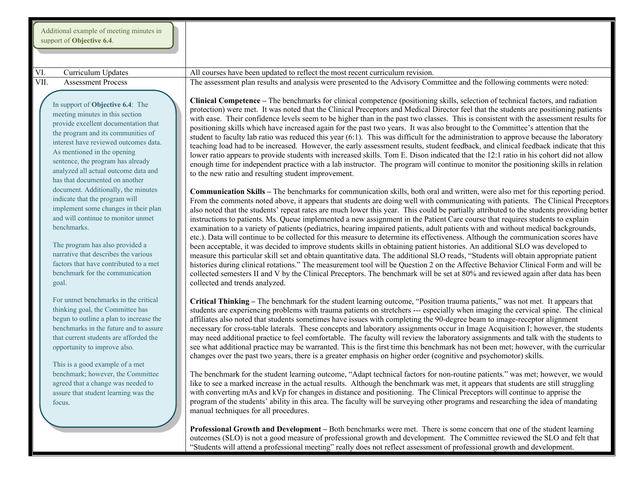| Additional example of meeting minutes in |  |
|------------------------------------------|--|
| support of <b>Objective 6.4</b> .        |  |

In support of **Objective 6.4**: The meeting minutes in this section provide excellent documentation that the program and its communities of interest have reviewed outcomes data. As mentioned in the opening sentence, the program has already analyzed all actual outcome data and has that documented on another document. Additionally, the minutes indicate that the program will implement some changes in their plan and will continue to monitor unmet benchmarks.

The program has also provided a narrative that describes the various factors that have contributed to a met benchmark for the communication goal.

For unmet benchmarks in the critical thinking goal, the Committee has begun to outline a plan to increase the benchmarks in the future and to assure that current students are afforded the opportunity to improve also.

This is a good example of a met benchmark; however, the Committee agreed that a change was needed to assure that student learning was the focus.

VI. Curriculum Updates All courses have been updated to reflect the most recent curriculum revision. VII. Assessment Process The assessment plan results and analysis were presented to the Advisory Committee and the following comments were noted:

> **Clinical Competence –** The benchmarks for clinical competence (positioning skills, selection of technical factors, and radiation protection) were met. It was noted that the Clinical Preceptors and Medical Director feel that the students are positioning patients with ease. Their confidence levels seem to be higher than in the past two classes. This is consistent with the assessment results for positioning skills which have increased again for the past two years. It was also brought to the Committee's attention that the student to faculty lab ratio was reduced this year (6:1). This was difficult for the administration to approve because the laboratory teaching load had to be increased. However, the early assessment results, student feedback, and clinical feedback indicate that this lower ratio appears to provide students with increased skills. Tom E. Dison indicated that the 12:1 ratio in his cohort did not allow enough time for independent practice with a lab instructor. The program will continue to monitor the positioning skills in relation to the new ratio and resulting student improvement.

> **Communication Skills –** The benchmarks for communication skills, both oral and written, were also met for this reporting period. From the comments noted above, it appears that students are doing well with communicating with patients. The Clinical Preceptors also noted that the students' repeat rates are much lower this year. This could be partially attributed to the students providing better instructions to patients. Ms. Queue implemented a new assignment in the Patient Care course that requires students to explain examination to a variety of patients (pediatrics, hearing impaired patients, adult patients with and without medical backgrounds, etc.). Data will continue to be collected for this measure to determine its effectiveness. Although the communication scores have been acceptable, it was decided to improve students skills in obtaining patient histories. An additional SLO was developed to measure this particular skill set and obtain quantitative data. The additional SLO reads, "Students will obtain appropriate patient histories during clinical rotations." The measurement tool will be Question 2 on the Affective Behavior Clinical Form and will be collected semesters II and V by the Clinical Preceptors. The benchmark will be set at 80% and reviewed again after data has been collected and trends analyzed.

> **Critical Thinking –** The benchmark for the student learning outcome, "Position trauma patients," was not met. It appears that students are experiencing problems with trauma patients on stretchers --- especially when imaging the cervical spine. The clinical affiliates also noted that students sometimes have issues with completing the 90-degree beam to image-receptor alignment necessary for cross-table laterals. These concepts and laboratory assignments occur in Image Acquisition I; however, the students may need additional practice to feel comfortable. The faculty will review the laboratory assignments and talk with the students to see what additional practice may be warranted. This is the first time this benchmark has not been met; however, with the curricular changes over the past two years, there is a greater emphasis on higher order (cognitive and psychomotor) skills.

> The benchmark for the student learning outcome, "Adapt technical factors for non-routine patients." was met; however, we would like to see a marked increase in the actual results. Although the benchmark was met, it appears that students are still struggling with converting mAs and kVp for changes in distance and positioning. The Clinical Preceptors will continue to apprise the program of the students' ability in this area. The faculty will be surveying other programs and researching the idea of mandating manual techniques for all procedures.

> **Professional Growth and Development –** Both benchmarks were met. There is some concern that one of the student learning outcomes (SLO) is not a good measure of professional growth and development. The Committee reviewed the SLO and felt that "Students will attend a professional meeting" really does not reflect assessment of professional growth and development.